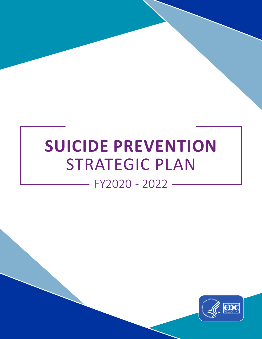# **SUICIDE PREVENTION**  STRATEGIC PLAN



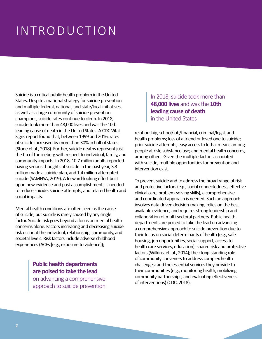## INTRODUCTION

Suicide is a critical public health problem in the United States. Despite a national strategy for suicide prevention and multiple federal, national, and state/local initiatives, as well as a large community of suicide prevention champions, suicide rates continue to climb. In 2018, suicide took more than 48,000 lives and was the 10th leading cause of death in the United States. A CDC Vital Signs report found that, between 1999 and 2016, rates of suicide increased by more than 30% in half of states (Stone et al., 2018). Further, suicide deaths represent just the tip of the iceberg with respect to individual, family, and community impacts. In 2018, 10.7 million adults reported having serious thoughts of suicide in the past year, 3.3 million made a suicide plan, and 1.4 million attempted suicide (SAMHSA, 2019). A forward-looking effort built upon new evidence and past accomplishments is needed to reduce suicide, suicide attempts, and related health and social impacts.

Mental health conditions are often seen as the cause of suicide, but suicide is rarely caused by any single factor. Suicide risk goes beyond a focus on mental health concerns alone. Factors increasing and decreasing suicide risk occur at the individual, relationship, community, and societal levels. Risk factors include adverse childhood experiences (ACEs [e.g., exposure to violence]);

> **Public health departments are poised to take the lead**

on advancing a comprehensive approach to suicide prevention

### In 2018, suicide took more than **48,000 lives** and was the **10th leading cause of death** in the United States

relationship, school/job/financial, criminal/legal, and health problems; loss of a friend or loved one to suicide; prior suicide attempts; easy access to lethal means among people at risk; substance use; and mental health concerns, among others. Given the multiple factors associated with suicide, multiple opportunities for prevention and intervention exist.

To prevent suicide and to address the broad range of risk and protective factors (e.g., social connectedness, effective clinical care, problem-solving skills), a comprehensive and coordinated approach is needed. Such an approach involves data driven decision-making, relies on the best available evidence, and requires strong leadership and collaboration of multi-sectoral partners. Public health departments are poised to take the lead on advancing a comprehensive approach to suicide prevention due to their focus on social determinants of health (e.g., safe housing, job opportunities, social support, access to health care services, education); shared risk and protective factors (Wilkins, et. al., 2014); their long-standing role of community conveners to address complex health challenges; and the essential services they provide to their communities (e.g., monitoring health, mobilizing community partnerships, and evaluating effectiveness of interventions) (CDC, 2018).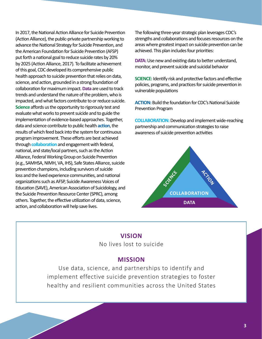In 2017, the National Action Alliance for Suicide Prevention (Action Alliance), the public-private partnership working to advance the National Strategy for Suicide Prevention, and the American Foundation for Suicide Prevention (AFSP) put forth a national goal to reduce suicide rates by 20% by 2025 (Action Alliance, 2017). To facilitate achievement of this goal, CDC developed its comprehensive public health approach to suicide prevention that relies on data, science, and action, grounded in a strong foundation of collaboration for maximum impact. **Data** are used to track trends and understand the nature of the problem, who is impacted, and what factors contribute to or reduce suicide. **Science** affords us the opportunity to rigorously test and evaluate what works to prevent suicide and to guide the implementation of evidence-based approaches. Together, data and science contribute to public health **action**, the results of which feed back into the system for continuous program improvement. These efforts are best achieved through **collaboration** and engagement with federal, national, and state/local partners, such as the Action Alliance, Federal Working Group on Suicide Prevention (e.g., SAMHSA, NIMH, VA, IHS), Safe States Alliance, suicide prevention champions, including survivors of suicide loss and the lived experience communities, and national organizations such as AFSP, Suicide Awareness Voices of Education (SAVE), American Association of Suicidology, and the Suicide Prevention Resource Center (SPRC), among others. Together, the effective utilization of data, science, action, and collaboration will help save lives.

The following three-year strategic plan leverages CDC's strengths and collaborations and focuses resources on the areas where greatest impact on suicide prevention can be achieved. This plan includes four priorities:

**DATA:** Use new and existing data to better understand, monitor, and prevent suicide and suicidal behavior

**SCIENCE:** Identify risk and protective factors and effective policies, programs, and practices for suicide prevention in vulnerable populations

**ACTION:** Build the foundation for CDC's National Suicide Prevention Program

**COLLABORATION:**Develop and implement wide-reaching partnership and communication strategies to raise awareness of suicide prevention activities



### **VISION**

No lives lost to suicide

### **MISSION**

Use data, science, and partnerships to identify and implement effective suicide prevention strategies to foster healthy and resilient communities across the United States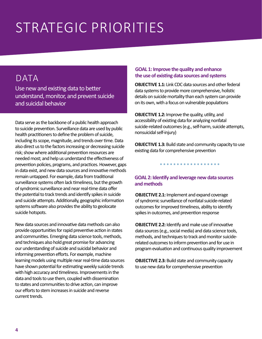# STRATEGIC PRIORITIES

### DATA

Use new and existing data to better understand, monitor, and prevent suicide and suicidal behavior

Data serve as the backbone of a public health approach to suicide prevention. Surveillance data are used by public health practitioners to define the problem of suicide, including its scope, magnitude, and trends over time. Data also direct us to the factors increasing or decreasing suicide risk; show where additional prevention resources are needed most; and help us understand the effectiveness of prevention policies, programs, and practices. However, gaps in data exist, and new data sources and innovative methods remain untapped. For example, data from traditional surveillance systems often lack timeliness, but the growth of syndromic surveillance and near real-time data offer the potential to track trends and identify spikes in suicide and suicide attempts. Additionally, geographic information systems software also provides the ability to geolocate suicide hotspots.

New data sources and innovative data methods can also provide opportunities for rapid preventive action in states and communities. Emerging data science tools, methods, and techniques also hold great promise for advancing our understanding of suicide and suicidal behavior and informing prevention efforts. For example, machine learning models using multiple near real-time data sources have shown potential for estimating weekly suicide trends with high accuracy and timeliness. Improvements in the data and tools to use them, coupled with dissemination to states and communities to drive action, can improve our efforts to stem increases in suicide and reverse current trends.

#### **GOAL 1: Improve the quality and enhance the use of existing data sources and systems**

**OBJECTIVE 1.1:** Link CDC data sources and other federal data systems to provide more comprehensive, holistic details on suicide mortality than each system can provide on its own, with a focus on vulnerable populations

**OBJECTIVE 1.2:** Improve the quality, utility, and accessibility of existing data for analyzing nonfatal suicide-related outcomes (e.g., self-harm, suicide attempts, nonsuicidal self-injury)

**OBJECTIVE 1.3:** Build state and community capacity to use existing data for comprehensive prevention

. . . . . . . . . . . . . . . . . .

### **GOAL 2: Identify and leverage new data sources and methods**

**OBJECTIVE 2.1:** Implement and expand coverage of syndromic surveillance of nonfatal suicide-related outcomes for improved timeliness, ability to identify spikes in outcomes, and prevention response

**OBJECTIVE 2.2:** Identify and make use of innovative data sources (e.g., social media) and data science tools, methods, and techniques to track and monitor suiciderelated outcomes to inform prevention and for use in program evaluation and continuous quality improvement

**OBJECTIVE 2.3:** Build state and community capacity to use new data for comprehensive prevention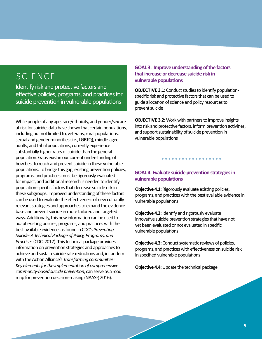### **SCIENCE**

Identify risk and protective factors and effective policies, programs, and practices for suicide prevention in vulnerable populations

While people of any age, race/ethnicity, and gender/sex are at risk for suicide, data have shown that certain populations, including but not limited to, veterans, rural populations, sexual and gender minorities (i.e., LGBTQ), middle-aged adults, and tribal populations, currently experience substantially higher rates of suicide than the general population. Gaps exist in our current understanding of how best to reach and prevent suicide in these vulnerable populations. To bridge this gap, existing prevention policies, programs, and practices must be rigorously evaluated for impact, and additional research is needed to identify population-specific factors that decrease suicide risk in these subgroups. Improved understanding of these factors can be used to evaluate the effectiveness of new culturally relevant strategies and approaches to expand the evidence base and prevent suicide in more tailored and targeted ways. Additionally, this new information can be used to adapt existing policies, programs, and practices with the best available evidence, as found in CDC's *Preventing Suicide: A Technical Package of Policy, Programs, and Practices* (CDC, 2017). This technical package provides information on prevention strategies and approaches to achieve and sustain suicide rate reductions and, in tandem with the Action Alliance's *Transforming communities: Key elements for the implementation of comprehensive community-based suicide prevention*, can serve as a road map for prevention decision-making (NAASP, 2016).

#### **GOAL 3: Improve understanding of the factors that increase or decrease suicide risk in vulnerable populations**

**OBJECTIVE 3.1:** Conduct studies to identify populationspecific risk and protective factors that can be used to guide allocation of science and policy resources to prevent suicide

**OBJECTIVE 3.2:** Work with partners to improve insights into risk and protective factors, inform prevention activities, and support sustainability of suicide prevention in vulnerable populations

.................

### **GOAL 4: Evaluate suicide prevention strategies in vulnerable populations**

**Objective 4.1:** Rigorously evaluate existing policies, programs, and practices with the best available evidence in vulnerable populations

**Objective 4.2:** Identify and rigorously evaluate innovative suicide prevention strategies that have not yet been evaluated or not evaluated in specific vulnerable populations

**Objective 4.3:** Conduct systematic reviews of policies, programs, and practices with effectiveness on suicide risk in specified vulnerable populations

**Objective 4.4:** Update the technical package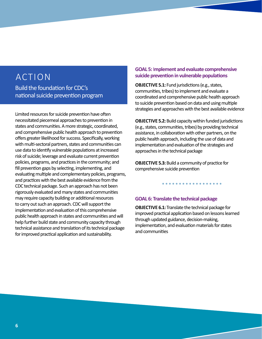### ACTION Build the foundation for CDC's national suicide prevention program

Limited resources for suicide prevention have often necessitated piecemeal approaches to prevention in states and communities. A more strategic, coordinated, and comprehensive public health approach to prevention offers greater likelihood for success. Specifically, working with multi-sectoral partners, states and communities can use data to identify vulnerable populations at increased risk of suicide; leverage and evaluate current prevention policies, programs, and practices in the community; and fill prevention gaps by selecting, implementing, and evaluating multiple and complementary policies, programs, and practices with the best available evidence from the CDC technical package. Such an approach has not been rigorously evaluated and many states and communities may require capacity building or additional resources to carry out such an approach. CDC will support the implementation and evaluation of this comprehensive public health approach in states and communities and will help further build state and community capacity through technical assistance and translation of its technical package for improved practical application and sustainability.

#### **GOAL 5:** I**mplement and evaluate comprehensive suicide prevention in vulnerable populations**

**OBJECTIVE 5.1:** Fund jurisdictions (e.g., states, communities, tribes) to implement and evaluate a coordinated and comprehensive public health approach to suicide prevention based on data and using multiple strategies and approaches with the best available evidence

**OBJECTIVE 5.2:** Build capacity within funded jurisdictions (e.g., states, communities, tribes) by providing technical assistance, in collaboration with other partners, on the public health approach, including the use of data and implementation and evaluation of the strategies and approaches in the technical package

**OBJECTIVE 5.3:** Build a community of practice for comprehensive suicide prevention

#### **GOAL 6: Translate the technical package**

**OBJECTIVE 6.1:** Translate the technical package for improved practical application based on lessons learned through updated guidance, decision-making, implementation, and evaluation materials for states and communities

. . . . . . . . . . . . . . . . . .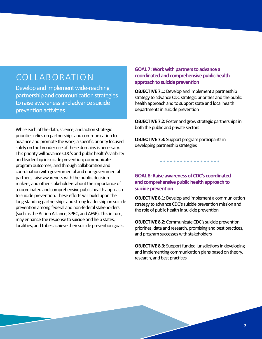### COLLABORATION

Develop and implement wide-reaching partnership and communication strategies to raise awareness and advance suicide prevention activities

While each of the data, science, and action strategic priorities relies on partnerships and communication to advance and promote the work, a specific priority focused solely on the broader use of these domains is necessary. This priority will advance CDC's and public health's visibility and leadership in suicide prevention; communicate program outcomes; and through collaboration and coordination with governmental and non-governmental partners, raise awareness with the public, decisionmakers, and other stakeholders about the importance of a coordinated and comprehensive public health approach to suicide prevention. These efforts will build upon the long-standing partnerships and strong leadership on suicide prevention among federal and non-federal stakeholders (such as the Action Alliance, SPRC, and AFSP). This in turn, may enhance the response to suicide and help states, localities, and tribes achieve their suicide prevention goals.

**GOAL 7: Work with partners to advance a coordinated and comprehensive public health approach to suicide prevention** 

**OBJECTIVE 7.1:** Develop and implement a partnership strategy to advance CDC strategic priorities and the public health approach and to support state and local health departments in suicide prevention

**OBJECTIVE 7.2:** Foster and grow strategic partnerships in both the public and private sectors

. . . . . . . . . . . . . . . . . .

**OBJECTIVE 7.3:** Support program participants in developing partnership strategies

**GOAL 8: Raise awareness of CDC's coordinated and comprehensive public health approach to suicide prevention** 

**OBJECTIVE 8.1:** Develop and implement a communication strategy to advance CDC's suicide prevention mission and the role of public health in suicide prevention

**OBJECTIVE 8.2:** Communicate CDC's suicide prevention priorities, data and research, promising and best practices, and program successes with stakeholders

**OBJECTIVE 8.3:** Support funded jurisdictions in developing and implementing communication plans based on theory, research, and best practices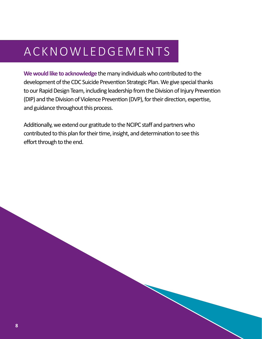# ACKNOWLEDGEMENTS

**We would like to acknowledge** the many individuals who contributed to the development of the CDC Suicide Prevention Strategic Plan. We give special thanks to our Rapid Design Team, including leadership from the Division of Injury Prevention (DIP) and the Division of Violence Prevention (DVP), for their direction, expertise, and guidance throughout this process.

Additionally, we extend our gratitude to the NCIPC staff and partners who contributed to this plan for their time, insight, and determination to see this effort through to the end.